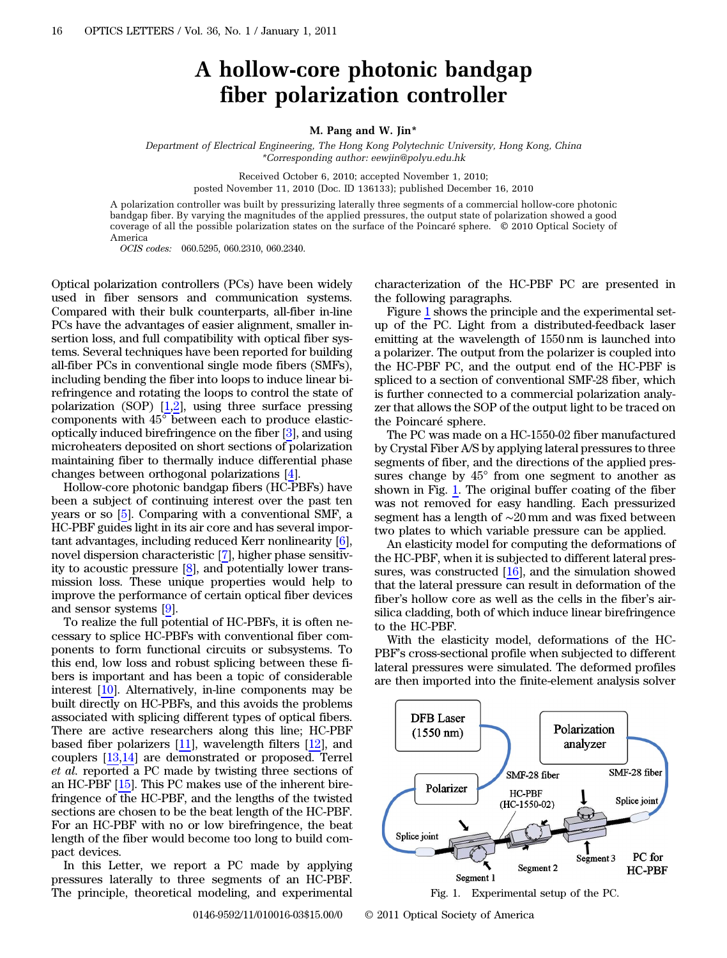## A hollow-core photonic bandgap fiber polarization controller

## M. Pang and W. Jin\*

Department of Electrical Engineering, The Hong Kong Polytechnic University, Hong Kong, China \*Corresponding author: eewjin@polyu.edu.hk

> Received October 6, 2010; accepted November 1, 2010; posted November 11, 2010 (Doc. ID 136133); published December 16, 2010

A polarization controller was built by pressurizing laterally three segments of a commercial hollow-core photonic bandgap fiber. By varying the magnitudes of the applied pressures, the output state of polarization showed a good coverage of all the possible polarization states on the surface of the Poincaré sphere. © 2010 Optical Society of America

OCIS codes: 060.5295, 060.2310, 060.2340.

Optical polarization controllers (PCs) have been widely used in fiber sensors and communication systems. Compared with their bulk counterparts, all-fiber in-line PCs have the advantages of easier alignment, smaller insertion loss, and full compatibility with optical fiber systems. Several techniques have been reported for building all-fiber PCs in conventional single mode fibers (SMFs), including bending the fiber into loops to induce linear birefringence and rotating the loops to control the state of polarization (SOP)  $[1,2]$  $[1,2]$  $[1,2]$ , using three surface pressing components with 45° between each to produce elasticoptically induced birefringence on the fiber [[3\]](#page-2-2), and using microheaters deposited on short sections of polarization maintaining fiber to thermally induce differential phase changes between orthogonal polarizations [\[4](#page-2-3)].

Hollow-core photonic bandgap fibers (HC-PBFs) have been a subject of continuing interest over the past ten years or so [[5](#page-2-4)]. Comparing with a conventional SMF, a HC-PBF guides light in its air core and has several important advantages, including reduced Kerr nonlinearity [\[6](#page-2-5)], novel dispersion characteristic [\[7](#page-2-6)], higher phase sensitivity to acoustic pressure [\[8](#page-2-7)], and potentially lower transmission loss. These unique properties would help to improve the performance of certain optical fiber devices and sensor systems [\[9](#page-2-8)].

To realize the full potential of HC-PBFs, it is often necessary to splice HC-PBFs with conventional fiber components to form functional circuits or subsystems. To this end, low loss and robust splicing between these fibers is important and has been a topic of considerable interest [[10\]](#page-2-9). Alternatively, in-line components may be built directly on HC-PBFs, and this avoids the problems associated with splicing different types of optical fibers. There are active researchers along this line; HC-PBF based fiber polarizers [\[11](#page-2-10)], wavelength filters [\[12](#page-2-11)], and couplers [\[13](#page-2-12),[14\]](#page-2-13) are demonstrated or proposed. Terrel et al. reported a PC made by twisting three sections of an HC-PBF [[15\]](#page-2-14). This PC makes use of the inherent birefringence of the HC-PBF, and the lengths of the twisted sections are chosen to be the beat length of the HC-PBF. For an HC-PBF with no or low birefringence, the beat length of the fiber would become too long to build compact devices.

In this Letter, we report a PC made by applying pressures laterally to three segments of an HC-PBF. The principle, theoretical modeling, and experimental

characterization of the HC-PBF PC are presented in the following paragraphs.

Figure [1](#page-0-0) shows the principle and the experimental setup of the PC. Light from a distributed-feedback laser emitting at the wavelength of 1550 nm is launched into a polarizer. The output from the polarizer is coupled into the HC-PBF PC, and the output end of the HC-PBF is spliced to a section of conventional SMF-28 fiber, which is further connected to a commercial polarization analyzer that allows the SOP of the output light to be traced on the Poincaré sphere.

The PC was made on a HC-1550-02 fiber manufactured by Crystal Fiber A/S by applying lateral pressures to three segments of fiber, and the directions of the applied pressures change by 45° from one segment to another as shown in Fig. [1.](#page-0-0) The original buffer coating of the fiber was not removed for easy handling. Each pressurized segment has a length of ∼20 mm and was fixed between two plates to which variable pressure can be applied.

An elasticity model for computing the deformations of the HC-PBF, when it is subjected to different lateral pressures, was constructed [[16\]](#page-2-15), and the simulation showed sures, was constructed [10], and the simulation showed<br>that the lateral pressure can result in deformation of the<br>fiber's hollow core as well as the cells in the fiber's airsilica cladding, both of which induce linear birefringence to the HC-PBF.

With the elasticity model, deformations of the HC-PBF's cross-sectional profile when subjected to different lateral pressures were simulated. The deformed profiles are then imported into the finite-element analysis solver

<span id="page-0-0"></span>

Fig. 1. Experimental setup of the PC.

0146-9592/11/010016-03\$15.00/0 © 2011 Optical Society of America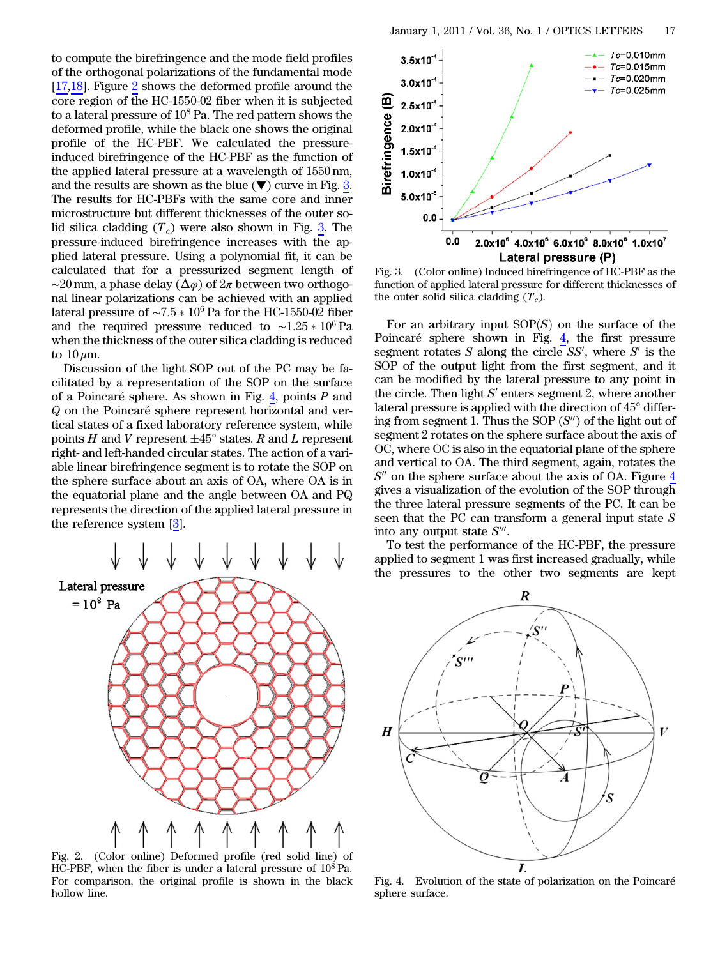to compute the birefringence and the mode field profiles of the orthogonal polarizations of the fundamental mode [\[17](#page-2-16),[18\]](#page-2-17). Figure [2](#page-1-0) shows the deformed profile around the core region of the HC-1550-02 fiber when it is subjected to a lateral pressure of  $10^8$  Pa. The red pattern shows the deformed profile, while the black one shows the original profile of the HC-PBF. We calculated the pressureinduced birefringence of the HC-PBF as the function of the applied lateral pressure at a wavelength of 1550 nm, and the results are shown as the blue  $(\nabla)$  curve in Fig. [3.](#page-1-1) The results for HC-PBFs with the same core and inner microstructure but different thicknesses of the outer solid silica cladding  $(T_c)$  were also shown in Fig. [3.](#page-1-1) The pressure-induced birefringence increases with the applied lateral pressure. Using a polynomial fit, it can be calculated that for a pressurized segment length of  $\sim$ 20 mm, a phase delay ( $\Delta\varphi$ ) of  $2\pi$  between two orthogonal linear polarizations can be achieved with an applied lateral pressure of  $\sim$ 7.5  $*$  10<sup>6</sup> Pa for the HC-1550-02 fiber and the required pressure reduced to  $~\sim 1.25 \times 10^6$  Pa when the thickness of the outer silica cladding is reduced to  $10 \mu m$ .

Discussion of the light SOP out of the PC may be facilitated by a representation of the SOP on the surface of a Poincaré sphere. As shown in Fig. [4](#page-1-2), points  $P$  and Q on the Poincaré sphere represent horizontal and vertical states of a fixed laboratory reference system, while points H and V represent  $\pm 45^{\circ}$  states. R and L represent right- and left-handed circular states. The action of a variable linear birefringence segment is to rotate the SOP on the sphere surface about an axis of OA, where OA is in the equatorial plane and the angle between OA and PQ represents the direction of the applied lateral pressure in the reference system [\[3](#page-2-2)].

<span id="page-1-0"></span>

Fig. 2. (Color online) Deformed profile (red solid line) of HC-PBF, when the fiber is under a lateral pressure of 10<sup>8</sup> Pa. For comparison, the original profile is shown in the black hollow line.

<span id="page-1-1"></span>

Fig. 3. (Color online) Induced birefringence of HC-PBF as the function of applied lateral pressure for different thicknesses of the outer solid silica cladding  $(T_c)$ .

For an arbitrary input  $SOP(S)$  on the surface of the Poincaré sphere shown in Fig. [4,](#page-1-2) the first pressure segment rotates  $S$  along the circle  $SS'$ , where  $S'$  is the SOP of the output light from the first segment, and it can be modified by the lateral pressure to any point in the circle. Then light  $S'$  enters segment 2, where another lateral pressure is applied with the direction of 45° differing from segment 1. Thus the SOP  $(S'')$  of the light out of segment 2 rotates on the sphere surface about the axis of OC, where OC is also in the equatorial plane of the sphere and vertical to OA. The third segment, again, rotates the  $S''$  on the sphere surface about the axis of OA. Figure  $4$ gives a visualization of the evolution of the SOP through the three lateral pressure segments of the PC. It can be seen that the PC can transform a general input state S into any output state  $S^{\prime\prime\prime}$ .

To test the performance of the HC-PBF, the pressure applied to segment 1 was first increased gradually, while the pressures to the other two segments are kept

<span id="page-1-2"></span>

Fig. 4. Evolution of the state of polarization on the Poincaré sphere surface.